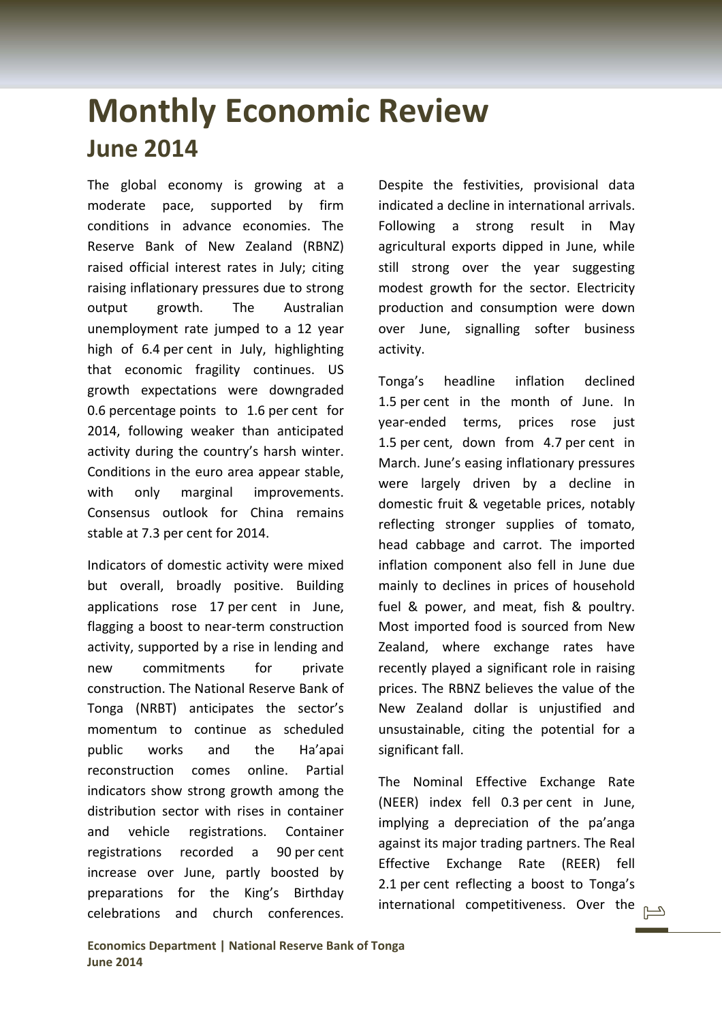## **Monthly Economic Review June 2014**

The global economy is growing at a moderate pace, supported by firm conditions in advance economies. The Reserve Bank of New Zealand (RBNZ) raised official interest rates in July; citing raising inflationary pressures due to strong output growth. The Australian unemployment rate jumped to a 12 year high of 6.4 per cent in July, highlighting that economic fragility continues. US growth expectations were downgraded 0.6 percentage points to 1.6 per cent for 2014, following weaker than anticipated activity during the country's harsh winter. Conditions in the euro area appear stable, with only marginal improvements. Consensus outlook for China remains stable at 7.3 per cent for 2014.

Indicators of domestic activity were mixed but overall, broadly positive. Building applications rose 17 per cent in June, flagging a boost to near-term construction activity, supported by a rise in lending and new commitments for private construction. The National Reserve Bank of Tonga (NRBT) anticipates the sector's momentum to continue as scheduled public works and the Ha'apai reconstruction comes online. Partial indicators show strong growth among the distribution sector with rises in container and vehicle registrations. Container registrations recorded a 90 per cent increase over June, partly boosted by preparations for the King's Birthday celebrations and church conferences.

Despite the festivities, provisional data indicated a decline in international arrivals. Following a strong result in May agricultural exports dipped in June, while still strong over the year suggesting modest growth for the sector. Electricity production and consumption were down over June, signalling softer business activity.

Tonga's headline inflation declined 1.5 per cent in the month of June. In year-ended terms, prices rose just 1.5 per cent, down from 4.7 per cent in March. June's easing inflationary pressures were largely driven by a decline in domestic fruit & vegetable prices, notably reflecting stronger supplies of tomato, head cabbage and carrot. The imported inflation component also fell in June due mainly to declines in prices of household fuel & power, and meat, fish & poultry. Most imported food is sourced from New Zealand, where exchange rates have recently played a significant role in raising prices. The RBNZ believes the value of the New Zealand dollar is unjustified and unsustainable, citing the potential for a significant fall.

The Nominal Effective Exchange Rate (NEER) index fell 0.3 per cent in June, implying a depreciation of the pa'anga against its major trading partners. The Real Effective Exchange Rate (REER) fell 2.1 per cent reflecting a boost to Tonga's international competitiveness. Over the  $\Box$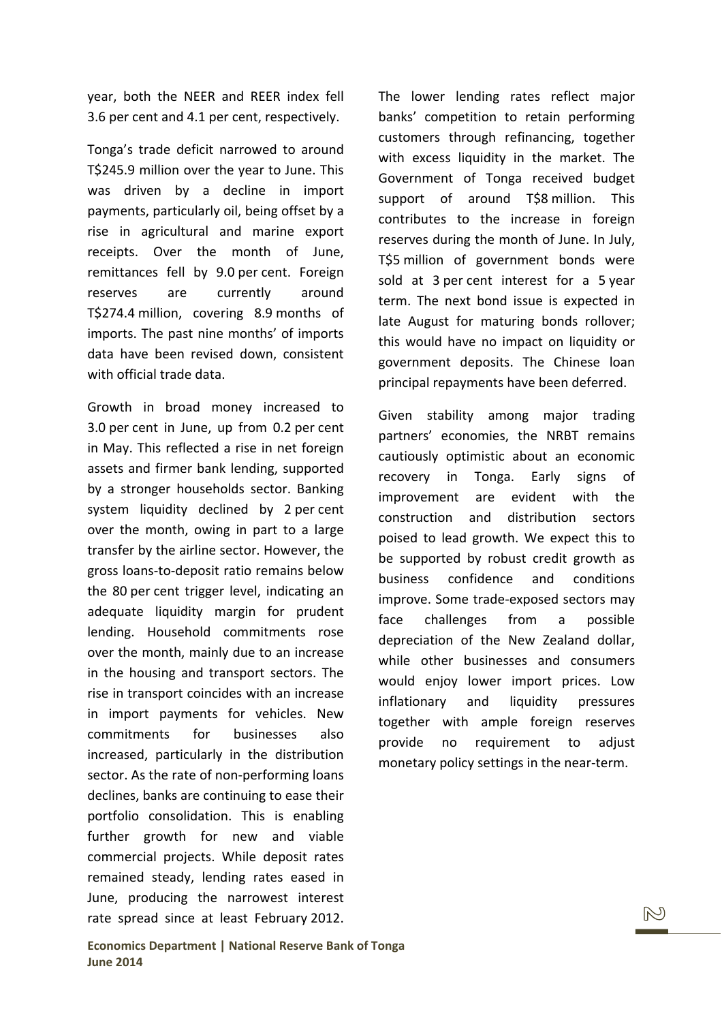year, both the NEER and REER index fell 3.6 per cent and 4.1 per cent, respectively.

Tonga's trade deficit narrowed to around T\$245.9 million over the year to June. This was driven by a decline in import payments, particularly oil, being offset by a rise in agricultural and marine export receipts. Over the month of June, remittances fell by 9.0 per cent. Foreign reserves are currently around T\$274.4 million, covering 8.9 months of imports. The past nine months' of imports data have been revised down, consistent with official trade data.

Growth in broad money increased to 3.0 per cent in June, up from 0.2 per cent in May. This reflected a rise in net foreign assets and firmer bank lending, supported by a stronger households sector. Banking system liquidity declined by 2 per cent over the month, owing in part to a large transfer by the airline sector. However, the gross loans‐to‐deposit ratio remains below the 80 per cent trigger level, indicating an adequate liquidity margin for prudent lending. Household commitments rose over the month, mainly due to an increase in the housing and transport sectors. The rise in transport coincides with an increase in import payments for vehicles. New commitments for businesses also increased, particularly in the distribution sector. As the rate of non-performing loans declines, banks are continuing to ease their portfolio consolidation. This is enabling further growth for new and viable commercial projects. While deposit rates remained steady, lending rates eased in June, producing the narrowest interest rate spread since at least February 2012.

The lower lending rates reflect major banks' competition to retain performing customers through refinancing, together with excess liquidity in the market. The Government of Tonga received budget support of around T\$8 million. This contributes to the increase in foreign reserves during the month of June. In July, T\$5 million of government bonds were sold at 3 per cent interest for a 5 year term. The next bond issue is expected in late August for maturing bonds rollover; this would have no impact on liquidity or government deposits. The Chinese loan principal repayments have been deferred.

Given stability among major trading partners' economies, the NRBT remains cautiously optimistic about an economic recovery in Tonga. Early signs of improvement are evident with the construction and distribution sectors poised to lead growth. We expect this to be supported by robust credit growth as business confidence and conditions improve. Some trade‐exposed sectors may face challenges from a possible depreciation of the New Zealand dollar, while other businesses and consumers would enjoy lower import prices. Low inflationary and liquidity pressures together with ample foreign reserves provide no requirement to adjust monetary policy settings in the near‐term.